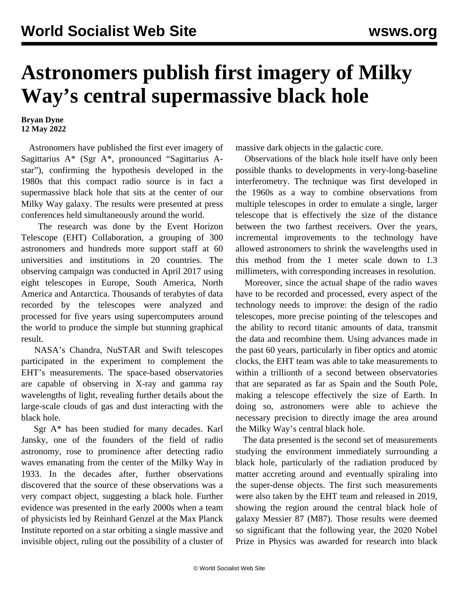## **Astronomers publish first imagery of Milky Way's central supermassive black hole**

## **Bryan Dyne 12 May 2022**

 Astronomers have published the first ever imagery of Sagittarius A\* (Sgr A\*, pronounced "Sagittarius Astar"), confirming the hypothesis developed in the 1980s that this compact radio source is in fact a supermassive black hole that sits at the center of our Milky Way galaxy. The results were presented at press conferences held simultaneously around the world.

 The research was done by the Event Horizon Telescope (EHT) Collaboration, a grouping of 300 astronomers and hundreds more support staff at 60 universities and institutions in 20 countries. The observing campaign was conducted in April 2017 using eight telescopes in Europe, South America, North America and Antarctica. Thousands of terabytes of data recorded by the telescopes were analyzed and processed for five years using supercomputers around the world to produce the simple but stunning graphical result.

 NASA's Chandra, NuSTAR and Swift telescopes participated in the experiment to complement the EHT's measurements. The space-based observatories are capable of observing in X-ray and gamma ray wavelengths of light, revealing further details about the large-scale clouds of gas and dust interacting with the black hole.

 Sgr A\* has been studied for many decades. Karl Jansky, one of the founders of the field of radio astronomy, rose to prominence after detecting radio waves emanating from the center of the Milky Way in 1933. In the decades after, further observations discovered that the source of these observations was a very compact object, suggesting a black hole. Further evidence was presented in the early 2000s when a team of physicists led by Reinhard Genzel at the Max Planck Institute reported on a star orbiting a single massive and invisible object, ruling out the possibility of a cluster of massive dark objects in the galactic core.

 Observations of the black hole itself have only been possible thanks to developments in very-long-baseline interferometry. The technique was first developed in the 1960s as a way to combine observations from multiple telescopes in order to emulate a single, larger telescope that is effectively the size of the distance between the two farthest receivers. Over the years, incremental improvements to the technology have allowed astronomers to shrink the wavelengths used in this method from the 1 meter scale down to 1.3 millimeters, with corresponding increases in resolution.

 Moreover, since the actual shape of the radio waves have to be recorded and processed, every aspect of the technology needs to improve: the design of the radio telescopes, more precise pointing of the telescopes and the ability to record titanic amounts of data, transmit the data and recombine them. Using advances made in the past 60 years, particularly in fiber optics and atomic clocks, the EHT team was able to take measurements to within a trillionth of a second between observatories that are separated as far as Spain and the South Pole, making a telescope effectively the size of Earth. In doing so, astronomers were able to achieve the necessary precision to directly image the area around the Milky Way's central black hole.

 The data presented is the second set of measurements studying the environment immediately surrounding a black hole, particularly of the radiation produced by matter accreting around and eventually spiraling into the super-dense objects. The first such measurements were also taken by the EHT team and [released in 2019,](/en/articles/2019/04/11/hole-a11.html) showing the region around the central black hole of galaxy Messier 87 (M87). Those results were deemed so significant that the following year, the [2020 Nobel](/en/articles/2020/10/09/phys-o09.html) [Prize in Physics](/en/articles/2020/10/09/phys-o09.html) was awarded for research into black